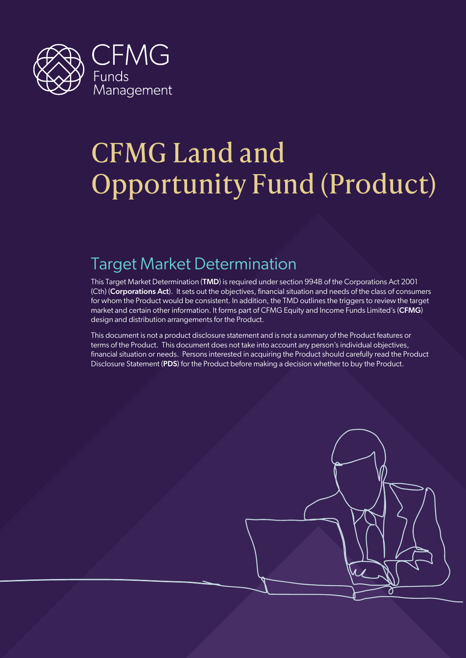

# CFMG Land and Opportunity Fund (Product)

## Target Market Determination

This Target Market Determination (TMD) is required under section 994B of the Corporations Act 2001 (Cth) (Corporations Act). It sets out the objectives, financial situation and needs of the class of consumers for whom the Product would be consistent. In addition, the TMD outlines the triggers to review the target market and certain other information. It forms part of CFMG Equity and Income Funds Limited's (CFMG) design and distribution arrangements for the Product.

This document is not a product disclosure statement and is not a summary of the Product features or terms of the Product. This document does not take into account any person's individual objectives, financial situation or needs. Persons interested in acquiring the Product should carefully read the Product Disclosure Statement (PDS) for the Product before making a decision whether to buy the Product.

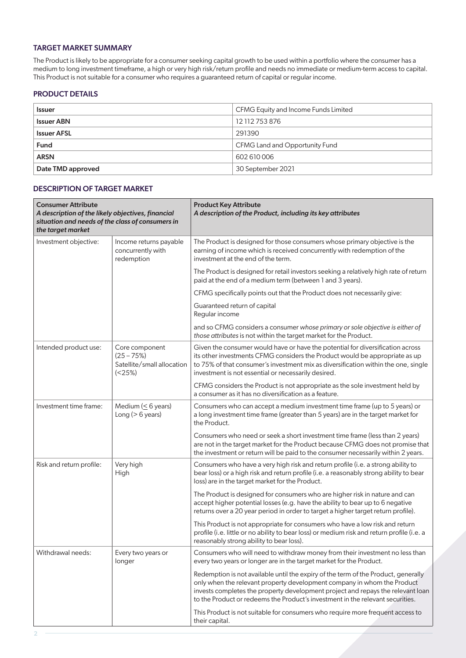#### TARGET MARKET SUMMARY

The Product is likely to be appropriate for a consumer seeking capital growth to be used within a portfolio where the consumer has a medium to long investment timeframe, a high or very high risk/return profile and needs no immediate or medium-term access to capital. This Product is not suitable for a consumer who requires a guaranteed return of capital or regular income.

#### PRODUCT DETAILS

| <b>Issuer</b>      | CFMG Equity and Income Funds Limited |
|--------------------|--------------------------------------|
| <b>Issuer ABN</b>  | 12 112 753 876                       |
| <b>Issuer AFSL</b> | 291390                               |
| <b>Fund</b>        | CFMG Land and Opportunity Fund       |
| <b>ARSN</b>        | 602 610 006                          |
| Date TMD approved  | 30 September 2021                    |

#### DESCRIPTION OF TARGET MARKET

| <b>Consumer Attribute</b><br>A description of the likely objectives, financial<br>situation and needs of the class of consumers in<br>the target market |                                                                        | <b>Product Key Attribute</b><br>A description of the Product, including its key attributes                                                                                                                                                                                                                                         |  |
|---------------------------------------------------------------------------------------------------------------------------------------------------------|------------------------------------------------------------------------|------------------------------------------------------------------------------------------------------------------------------------------------------------------------------------------------------------------------------------------------------------------------------------------------------------------------------------|--|
| Investment objective:                                                                                                                                   | Income returns payable<br>concurrently with<br>redemption              | The Product is designed for those consumers whose primary objective is the<br>earning of income which is received concurrently with redemption of the<br>investment at the end of the term.                                                                                                                                        |  |
|                                                                                                                                                         |                                                                        | The Product is designed for retail investors seeking a relatively high rate of return<br>paid at the end of a medium term (between 1 and 3 years).                                                                                                                                                                                 |  |
|                                                                                                                                                         |                                                                        | CFMG specifically points out that the Product does not necessarily give:                                                                                                                                                                                                                                                           |  |
|                                                                                                                                                         |                                                                        | Guaranteed return of capital<br>Regular income                                                                                                                                                                                                                                                                                     |  |
|                                                                                                                                                         |                                                                        | and so CFMG considers a consumer whose primary or sole objective is either of<br>those attributes is not within the target market for the Product.                                                                                                                                                                                 |  |
| Intended product use:                                                                                                                                   | Core component<br>$(25 - 75%)$<br>Satellite/small allocation<br>(<25%) | Given the consumer would have or have the potential for diversification across<br>its other investments CFMG considers the Product would be appropriate as up<br>to 75% of that consumer's investment mix as diversification within the one, single<br>investment is not essential or necessarily desired.                         |  |
|                                                                                                                                                         |                                                                        | CFMG considers the Product is not appropriate as the sole investment held by<br>a consumer as it has no diversification as a feature.                                                                                                                                                                                              |  |
| Investment time frame:                                                                                                                                  | Medium ( $\leq$ 6 years)<br>Long ( $> 6$ years)                        | Consumers who can accept a medium investment time frame (up to 5 years) or<br>a long investment time frame (greater than 5 years) are in the target market for<br>the Product.                                                                                                                                                     |  |
|                                                                                                                                                         |                                                                        | Consumers who need or seek a short investment time frame (less than 2 years)<br>are not in the target market for the Product because CFMG does not promise that<br>the investment or return will be paid to the consumer necessarily within 2 years.                                                                               |  |
| Risk and return profile:                                                                                                                                | Very high<br>High                                                      | Consumers who have a very high risk and return profile (i.e. a strong ability to<br>bear loss) or a high risk and return profile (i.e. a reasonably strong ability to bear<br>loss) are in the target market for the Product.                                                                                                      |  |
|                                                                                                                                                         |                                                                        | The Product is designed for consumers who are higher risk in nature and can<br>accept higher potential losses (e.g. have the ability to bear up to 6 negative<br>returns over a 20 year period in order to target a higher target return profile).                                                                                 |  |
|                                                                                                                                                         |                                                                        | This Product is not appropriate for consumers who have a low risk and return<br>profile (i.e. little or no ability to bear loss) or medium risk and return profile (i.e. a<br>reasonably strong ability to bear loss).                                                                                                             |  |
| Withdrawal needs:                                                                                                                                       | Every two years or<br>longer                                           | Consumers who will need to withdraw money from their investment no less than<br>every two years or longer are in the target market for the Product.                                                                                                                                                                                |  |
|                                                                                                                                                         |                                                                        | Redemption is not available until the expiry of the term of the Product, generally<br>only when the relevant property development company in whom the Product<br>invests completes the property development project and repays the relevant loan<br>to the Product or redeems the Product's investment in the relevant securities. |  |
|                                                                                                                                                         |                                                                        | This Product is not suitable for consumers who require more frequent access to<br>their capital.                                                                                                                                                                                                                                   |  |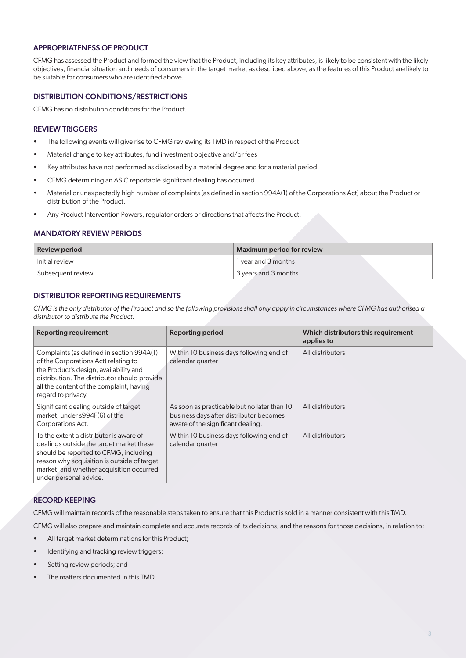#### APPROPRIATENESS OF PRODUCT

CFMG has assessed the Product and formed the view that the Product, including its key attributes, is likely to be consistent with the likely objectives, financial situation and needs of consumers in the target market as described above, as the features of this Product are likely to be suitable for consumers who are identified above.

#### DISTRIBUTION CONDITIONS/RESTRICTIONS

CFMG has no distribution conditions for the Product.

#### REVIEW TRIGGERS

- The following events will give rise to CFMG reviewing its TMD in respect of the Product:
- Material change to key attributes, fund investment objective and/or fees
- Key attributes have not performed as disclosed by a material degree and for a material period
- CFMG determining an ASIC reportable significant dealing has occurred
- Material or unexpectedly high number of complaints (as defined in section 994A(1) of the Corporations Act) about the Product or distribution of the Product.
- Any Product Intervention Powers, regulator orders or directions that affects the Product.

#### MANDATORY REVIEW PERIODS

| <b>Review period</b>           | Maximum period for review |
|--------------------------------|---------------------------|
| Initial review                 | l year and 3 months       |
| <sup>1</sup> Subsequent review | 3 years and 3 months      |

#### DISTRIBUTOR REPORTING REQUIREMENTS

*CFMG is the only distributor of the Product and so the following provisions shall only apply in circumstances where CFMG has authorised a distributor to distribute the Product.* 

| <b>Reporting requirement</b>                                                                                                                                                                                                                      | <b>Reporting period</b>                                                                                                     | Which distributors this requirement<br>applies to |
|---------------------------------------------------------------------------------------------------------------------------------------------------------------------------------------------------------------------------------------------------|-----------------------------------------------------------------------------------------------------------------------------|---------------------------------------------------|
| Complaints (as defined in section 994A(1)<br>of the Corporations Act) relating to<br>the Product's design, availability and<br>distribution. The distributor should provide<br>all the content of the complaint, having<br>regard to privacy.     | Within 10 business days following end of<br>calendar quarter                                                                | All distributors                                  |
| Significant dealing outside of target<br>market, under s994F(6) of the<br>Corporations Act.                                                                                                                                                       | As soon as practicable but no later than 10<br>business days after distributor becomes<br>aware of the significant dealing. | All distributors                                  |
| To the extent a distributor is aware of<br>dealings outside the target market these<br>should be reported to CFMG, including<br>reason why acquisition is outside of target<br>market, and whether acquisition occurred<br>under personal advice. | Within 10 business days following end of<br>calendar quarter                                                                | All distributors                                  |

#### RECORD KEEPING

CFMG will maintain records of the reasonable steps taken to ensure that this Product is sold in a manner consistent with this TMD.

CFMG will also prepare and maintain complete and accurate records of its decisions, and the reasons for those decisions, in relation to:

- All target market determinations for this Product;
- Identifying and tracking review triggers;
- Setting review periods; and
- The matters documented in this TMD.